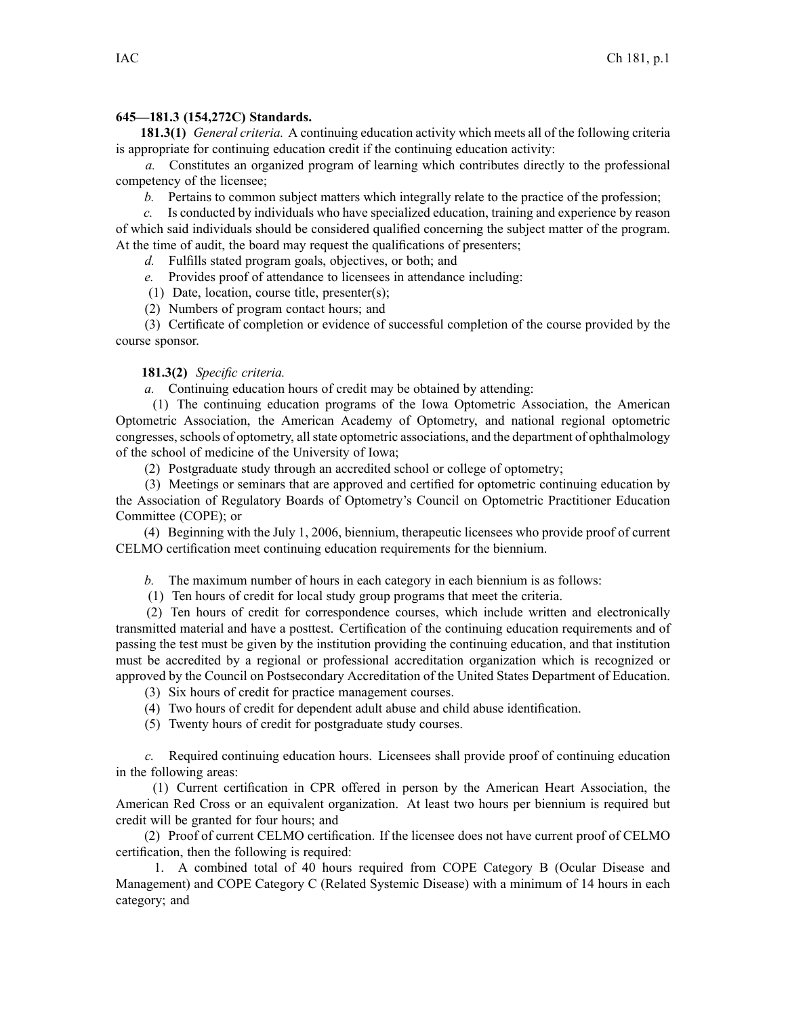## **645—181.3 (154,272C) Standards.**

**181.3(1)** *General criteria.* A continuing education activity which meets all of the following criteria is appropriate for continuing education credit if the continuing education activity:

*a.* Constitutes an organized program of learning which contributes directly to the professional competency of the licensee;

*b.* Pertains to common subject matters which integrally relate to the practice of the profession;

*c.* Is conducted by individuals who have specialized education, training and experience by reason of which said individuals should be considered qualified concerning the subject matter of the program. At the time of audit, the board may reques<sup>t</sup> the qualifications of presenters;

*d.* Fulfills stated program goals, objectives, or both; and

- *e.* Provides proof of attendance to licensees in attendance including:
- (1) Date, location, course title, presenter(s);
- (2) Numbers of program contact hours; and

(3) Certificate of completion or evidence of successful completion of the course provided by the course sponsor.

## **181.3(2)** *Specific criteria.*

*a.* Continuing education hours of credit may be obtained by attending:

(1) The continuing education programs of the Iowa Optometric Association, the American Optometric Association, the American Academy of Optometry, and national regional optometric congresses, schools of optometry, allstate optometric associations, and the department of ophthalmology of the school of medicine of the University of Iowa;

(2) Postgraduate study through an accredited school or college of optometry;

(3) Meetings or seminars that are approved and certified for optometric continuing education by the Association of Regulatory Boards of Optometry's Council on Optometric Practitioner Education Committee (COPE); or

(4) Beginning with the July 1, 2006, biennium, therapeutic licensees who provide proof of current CELMO certification meet continuing education requirements for the biennium.

*b.* The maximum number of hours in each category in each biennium is as follows:

(1) Ten hours of credit for local study group programs that meet the criteria.

(2) Ten hours of credit for correspondence courses, which include written and electronically transmitted material and have <sup>a</sup> posttest. Certification of the continuing education requirements and of passing the test must be given by the institution providing the continuing education, and that institution must be accredited by <sup>a</sup> regional or professional accreditation organization which is recognized or approved by the Council on Postsecondary Accreditation of the United States Department of Education.

- (3) Six hours of credit for practice managemen<sup>t</sup> courses.
- (4) Two hours of credit for dependent adult abuse and child abuse identification.
- (5) Twenty hours of credit for postgraduate study courses.

*c.* Required continuing education hours. Licensees shall provide proof of continuing education in the following areas:

(1) Current certification in CPR offered in person by the American Heart Association, the American Red Cross or an equivalent organization. At least two hours per biennium is required but credit will be granted for four hours; and

(2) Proof of current CELMO certification. If the licensee does not have current proof of CELMO certification, then the following is required:

1. A combined total of 40 hours required from COPE Category B (Ocular Disease and Management) and COPE Category C (Related Systemic Disease) with <sup>a</sup> minimum of 14 hours in each category; and